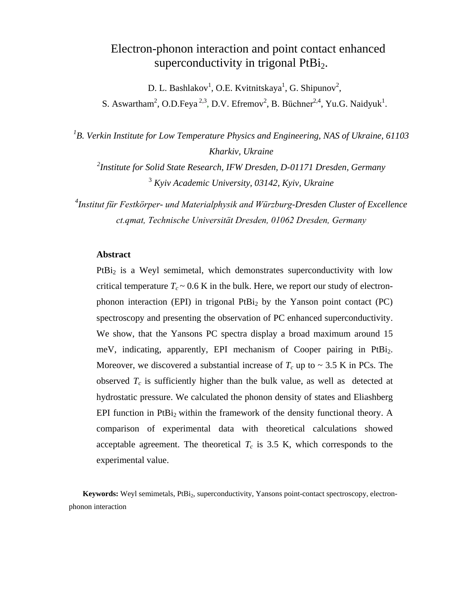# Electron-phonon interaction and point contact enhanced superconductivity in trigonal  $PtBi<sub>2</sub>$ .

D. L. Bashlakov<sup>1</sup>, O.E. Kvitnitskaya<sup>1</sup>, G. Shipunov<sup>2</sup>,

S. Aswartham<sup>2</sup>, O.D.Feya<sup>2,3</sup>, D.V. Efremov<sup>2</sup>, B. Büchner<sup>2,4</sup>, Yu.G. Naidyuk<sup>1</sup>.

<sup>1</sup>B. Verkin Institute for Low Temperature Physics and Engineering, NAS of Ukraine, 61103 *Kharkiv, Ukraine*

*2 Institute for Solid State Research, IFW Dresden, D-01171 Dresden, Germany* <sup>3</sup> *Kyiv Academic University, 03142, Kyiv, Ukraine*

*4 Institut für Festkörper- und Materialphysik and Würzburg-Dresden Cluster of Excellence ct.qmat, Technische Universität Dresden, 01062 Dresden, Germany*

### **Abstract**

PtBi<sub>2</sub> is a Weyl semimetal, which demonstrates superconductivity with low critical temperature  $T_c \sim 0.6$  K in the bulk. Here, we report our study of electronphonon interaction (EPI) in trigonal  $PtBi<sub>2</sub>$  by the Yanson point contact (PC) spectroscopy and presenting the observation of PC enhanced superconductivity. We show, that the Yansons PC spectra display a broad maximum around 15 meV, indicating, apparently, EPI mechanism of Cooper pairing in PtBi<sub>2</sub>. Moreover, we discovered a substantial increase of  $T_c$  up to  $\sim$  3.5 K in PCs. The observed  $T_c$  is sufficiently higher than the bulk value, as well as detected at hydrostatic pressure. We calculated the phonon density of states and Eliashberg EPI function in PtBi<sub>2</sub> within the framework of the density functional theory. A comparison of experimental data with theoretical calculations showed acceptable agreement. The theoretical  $T_c$  is 3.5 K, which corresponds to the experimental value.

**Keywords:** Weyl semimetals, PtBi<sub>2</sub>, superconductivity, Yansons point-contact spectroscopy, electronphonon interaction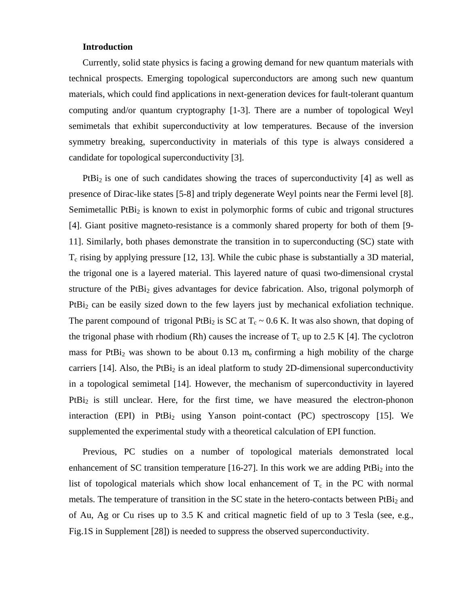#### **Introduction**

Currently, solid state physics is facing a growing demand for new quantum materials with technical prospects. Emerging topological superconductors are among such new quantum materials, which could find applications in next-generation devices for fault-tolerant quantum computing and/or quantum cryptography [1-3]. There are a number of topological Weyl semimetals that exhibit superconductivity at low temperatures. Because of the inversion symmetry breaking, superconductivity in materials of this type is always considered a candidate for topological superconductivity [3].

PtBi<sub>2</sub> is one of such candidates showing the traces of superconductivity  $[4]$  as well as presence of Dirac-like states [5-8] and triply degenerate Weyl points near the Fermi level [8]. Semimetallic  $PtBi<sub>2</sub>$  is known to exist in polymorphic forms of cubic and trigonal structures [4]. Giant positive magneto-resistance is a commonly shared property for both of them [9- 11]. Similarly, both phases demonstrate the transition in to superconducting (SC) state with  $T_c$  rising by applying pressure [12, 13]. While the cubic phase is substantially a 3D material, the trigonal one is a layered material. This layered nature of quasi two-dimensional crystal structure of the PtBi<sub>2</sub> gives advantages for device fabrication. Also, trigonal polymorph of PtBi<sub>2</sub> can be easily sized down to the few layers just by mechanical exfoliation technique. The parent compound of trigonal PtBi<sub>2</sub> is SC at  $T_c \sim 0.6$  K. It was also shown, that doping of the trigonal phase with rhodium (Rh) causes the increase of  $T_c$  up to 2.5 K [4]. The cyclotron mass for PtBi<sub>2</sub> was shown to be about  $0.13 \text{ m}_e$  confirming a high mobility of the charge carriers  $[14]$ . Also, the PtBi<sub>2</sub> is an ideal platform to study 2D-dimensional superconductivity in a topological semimetal [14]. However, the mechanism of superconductivity in layered  $PtBi<sub>2</sub>$  is still unclear. Here, for the first time, we have measured the electron-phonon interaction (EPI) in PtBi<sub>2</sub> using Yanson point-contact (PC) spectroscopy [15]. We supplemented the experimental study with a theoretical calculation of EPI function.

Previous, PC studies on a number of topological materials demonstrated local enhancement of SC transition temperature [16-27]. In this work we are adding  $PtBi<sub>2</sub>$  into the list of topological materials which show local enhancement of  $T_c$  in the PC with normal metals. The temperature of transition in the SC state in the hetero-contacts between PtBi<sub>2</sub> and of Au, Ag or Cu rises up to 3.5 K and critical magnetic field of up to 3 Tesla (see, e.g., Fig.1S in Supplement [28]) is needed to suppress the observed superconductivity.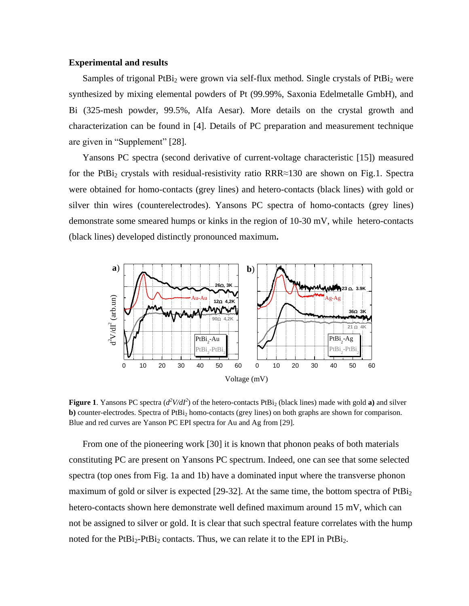### **Experimental and results**

Samples of trigonal PtBi<sub>2</sub> were grown via self-flux method. Single crystals of PtBi<sub>2</sub> were synthesized by mixing elemental powders of Pt (99.99%, Saxonia Edelmetalle GmbH), and Bi (325-mesh powder, 99.5%, Alfa Aesar). More details on the crystal growth and characterization can be found in [4]. Details of PC preparation and measurement technique are given in "Supplement" [28].

Yansons PC spectra (second derivative of current-voltage characteristic [15]) measured for the PtBi<sub>2</sub> crystals with residual-resistivity ratio RRR≈130 are shown on Fig.1. Spectra were obtained for homo-contacts (grey lines) and hetero-contacts (black lines) with gold or silver thin wires (counterelectrodes). Yansons PC spectra of homo-contacts (grey lines) demonstrate some smeared humps or kinks in the region of 10-30 mV, while hetero-contacts (black lines) developed distinctly pronounced maximum**.**



**Figure 1**. Yansons PC spectra  $(d^2V/dI^2)$  of the hetero-contacts PtBi<sub>2</sub> (black lines) made with gold **a**) and silver **b**) counter-electrodes. Spectra of  $PtB_i$ <sub>2</sub> homo-contacts (grey lines) on both graphs are shown for comparison. Blue and red curves are Yanson PC EPI spectra for Au and Ag from [29].

From one of the pioneering work [30] it is known that phonon peaks of both materials constituting PC are present on Yansons PC spectrum. Indeed, one can see that some selected spectra (top ones from Fig. 1a and 1b) have a dominated input where the transverse phonon maximum of gold or silver is expected [29-32]. At the same time, the bottom spectra of  $PtBi<sub>2</sub>$ hetero-contacts shown here demonstrate well defined maximum around 15 mV, which can not be assigned to silver or gold. It is clear that such spectral feature correlates with the hump noted for the  $PtBi_2-PtBi_2$  contacts. Thus, we can relate it to the EPI in  $PtBi_2$ .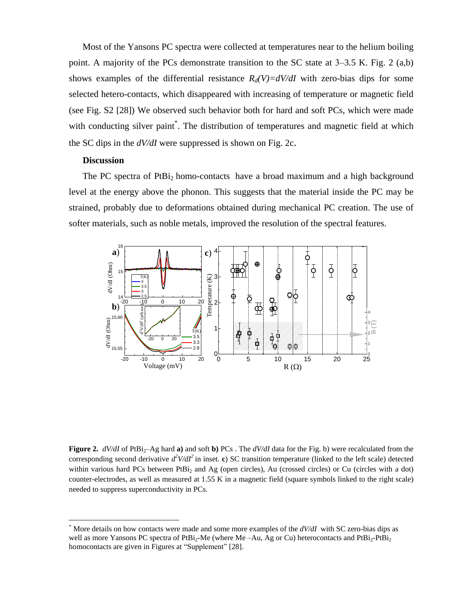Most of the Yansons PC spectra were collected at temperatures near to the helium boiling point. A majority of the PCs demonstrate transition to the SC state at  $3-3.5$  K. Fig. 2 (a,b) shows examples of the differential resistance  $R_d(V)=dV/dI$  with zero-bias dips for some selected hetero-contacts, which disappeared with increasing of temperature or magnetic field (see Fig. S2 [28]) We observed such behavior both for hard and soft PCs, which were made with conducting silver paint<sup>\*</sup>. The distribution of temperatures and magnetic field at which the SC dips in the *dV/dI* were suppressed is shown on Fig. 2c.

#### **Discussion**

 $\overline{a}$ 

The PC spectra of PtBi<sub>2</sub> homo-contacts have a broad maximum and a high background level at the energy above the phonon. This suggests that the material inside the PC may be strained, probably due to deformations obtained during mechanical PC creation. The use of softer materials, such as noble metals, improved the resolution of the spectral features.



**Figure 2.**  $dV/dI$  of PtBi<sub>2</sub>–Ag hard **a**) and soft **b**) PCs . The  $dV/dI$  data for the Fig. b) were recalculated from the corresponding second derivative  $d^2V/dI^2$  in inset. c) SC transition temperature (linked to the left scale) detected within various hard PCs between PtBi<sub>2</sub> and Ag (open circles), Au (crossed circles) or Cu (circles with a dot) counter-electrodes, as well as measured at 1.55 K in a magnetic field (square symbols linked to the right scale) needed to suppress superconductivity in PCs.

More details on how contacts were made and some more examples of the *dV/dI* with SC zero-bias dips as well as more Yansons PC spectra of PtBi<sub>2</sub>-Me (where Me -Au, Ag or Cu) heterocontacts and PtBi<sub>2</sub>-PtBi<sub>2</sub> homocontacts are given in Figures at "Supplement" [28].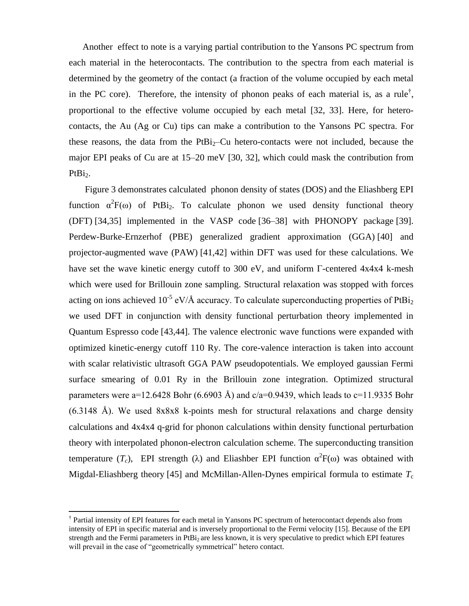Another effect to note is a varying partial contribution to the Yansons PC spectrum from each material in the heterocontacts. The contribution to the spectra from each material is determined by the geometry of the contact (a fraction of the volume occupied by each metal in the PC core). Therefore, the intensity of phonon peaks of each material is, as a rule<sup>†</sup>, proportional to the effective volume occupied by each metal [32, 33]. Here, for heterocontacts, the Au (Ag or Cu) tips can make a contribution to the Yansons PC spectra. For these reasons, the data from the  $PtBi<sub>2</sub>-Cu$  hetero-contacts were not included, because the major EPI peaks of Cu are at 15–20 meV [30, 32], which could mask the contribution from PtBi<sub>2</sub>.

Figure 3 demonstrates calculated phonon density of states (DOS) and the Eliashberg EPI function  $\alpha^2 F(\omega)$  of PtBi<sub>2</sub>. To calculate phonon we used density functional theory (DFT) [34,35] implemented in the VASP code [36–38] with PHONOPY package [39]. Perdew-Burke-Ernzerhof (PBE) generalized gradient approximation (GGA) [40] and projector-augmented wave (PAW) [41,42] within DFT was used for these calculations. We have set the wave kinetic energy cutoff to 300 eV, and uniform Γ-centered 4x4x4 k-mesh which were used for Brillouin zone sampling. Structural relaxation was stopped with forces acting on ions achieved  $10^{-5}$  eV/Å accuracy. To calculate superconducting properties of PtBi<sub>2</sub> we used DFT in conjunction with density functional perturbation theory implemented in Quantum Espresso code [43,44]. The valence electronic wave functions were expanded with optimized kinetic-energy cutoff 110 Ry. The core-valence interaction is taken into account with scalar relativistic ultrasoft GGA PAW pseudopotentials. We employed gaussian Fermi surface smearing of 0.01 Ry in the Brillouin zone integration. Optimized structural parameters were a=12.6428 Bohr (6.6903 Å) and  $c/a=0.9439$ , which leads to  $c=11.9335$  Bohr (6.3148 Å). We used 8x8x8 k-points mesh for structural relaxations and charge density calculations and 4x4x4 q-grid for phonon calculations within density functional perturbation theory with interpolated phonon-electron calculation scheme. The superconducting transition temperature  $(T_c)$ , EPI strength ( $\lambda$ ) and Eliashber EPI function  $\alpha^2 F(\omega)$  was obtained with Migdal-Eliashberg theory [45] and McMillan-Allen-Dynes empirical formula to estimate  $T_c$ 

 $\overline{a}$ 

<sup>†</sup> Partial intensity of EPI features for each metal in Yansons PC spectrum of heterocontact depends also from intensity of EPI in specific material and is inversely proportional to the Fermi velocity [15]. Because of the EPI strength and the Fermi parameters in PtBi<sub>2</sub> are less known, it is very speculative to predict which EPI features will prevail in the case of "geometrically symmetrical" hetero contact.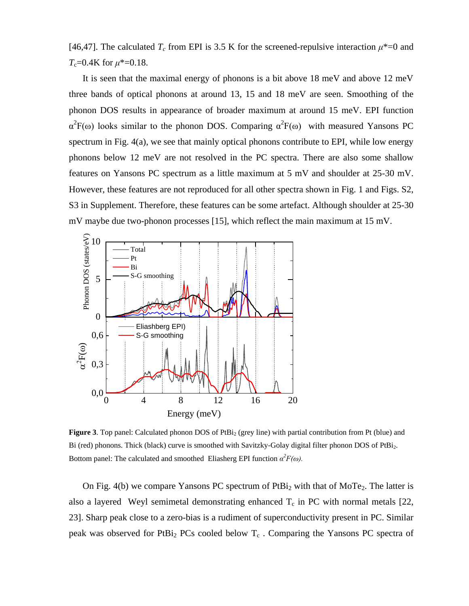[46,47]. The calculated  $T_c$  from EPI is 3.5 K for the screened-repulsive interaction  $\mu^*=0$  and *T*c=0.4K for *μ*\*=0.18.

It is seen that the maximal energy of phonons is a bit above 18 meV and above 12 meV three bands of optical phonons at around 13, 15 and 18 meV are seen. Smoothing of the phonon DOS results in appearance of broader maximum at around 15 meV. EPI function  $\alpha^2 F(\omega)$  looks similar to the phonon DOS. Comparing  $\alpha^2 F(\omega)$  with measured Yansons PC spectrum in Fig. 4(a), we see that mainly optical phonons contribute to EPI, while low energy phonons below 12 meV are not resolved in the PC spectra. There are also some shallow features on Yansons PC spectrum as a little maximum at 5 mV and shoulder at 25-30 mV. However, these features are not reproduced for all other spectra shown in Fig. 1 and Figs. S2, S3 in Supplement. Therefore, these features can be some artefact. Although shoulder at 25-30 mV maybe due two-phonon processes [15], which reflect the main maximum at 15 mV.



**Figure 3**. Top panel: Calculated phonon DOS of PtBi<sub>2</sub> (grey line) with partial contribution from Pt (blue) and Bi (red) phonons. Thick (black) curve is smoothed with Savitzky-Golay digital filter phonon DOS of PtBi<sub>2</sub>. Bottom panel: The calculated and smoothed Eliasherg EPI function  $\alpha^2 F(\omega)$ .

On Fig. 4(b) we compare Yansons PC spectrum of  $PtBi<sub>2</sub>$  with that of MoTe<sub>2</sub>. The latter is also a layered Weyl semimetal demonstrating enhanced  $T_c$  in PC with normal metals [22, 23]. Sharp peak close to a zero-bias is a rudiment of superconductivity present in PC. Similar peak was observed for PtBi<sub>2</sub> PCs cooled below  $T_c$ . Comparing the Yansons PC spectra of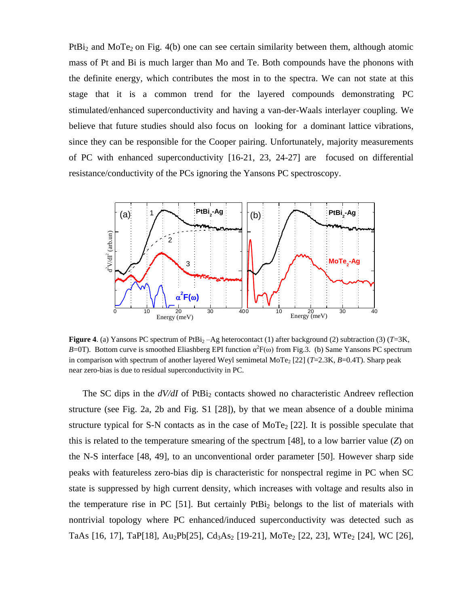$PtBi<sub>2</sub>$  and MoTe<sub>2</sub> on Fig. 4(b) one can see certain similarity between them, although atomic mass of Pt and Bi is much larger than Mo and Te. Both compounds have the phonons with the definite energy, which contributes the most in to the spectra. We can not state at this stage that it is a common trend for the layered compounds demonstrating PC stimulated/enhanced superconductivity and having a van-der-Waals interlayer coupling. We believe that future studies should also focus on looking for a dominant lattice vibrations, since they can be responsible for the Cooper pairing. Unfortunately, majority measurements of PC with enhanced superconductivity [16-21, 23, 24-27] are focused on differential resistance/conductivity of the PCs ignoring the Yansons PC spectroscopy.



**Figure 4**. (a) Yansons PC spectrum of PtBi<sub>2</sub> –Ag heterocontact (1) after background (2) subtraction (3) ( $T=3K$ , *B*=0T). Bottom curve is smoothed Eliashberg EPI function  $\alpha^2 F(\omega)$  from Fig.3. (b) Same Yansons PC spectrum in comparison with spectrum of another layered Weyl semimetal MoTe<sub>2</sub> [22] ( $T=2.3$ K,  $B=0.4$ T). Sharp peak near zero-bias is due to residual superconductivity in PC.

The SC dips in the  $dV/dI$  of PtBi<sub>2</sub> contacts showed no characteristic Andreev reflection structure (see Fig. 2a, 2b and Fig. S1 [28]), by that we mean absence of a double minima structure typical for S-N contacts as in the case of  $MoTe<sub>2</sub>$  [22]. It is possible speculate that this is related to the temperature smearing of the spectrum [48], to a low barrier value (*Z*) on the N-S interface [48, 49], to an unconventional order parameter [50]. However sharp side peaks with featureless zero-bias dip is characteristic for nonspectral regime in PC when SC state is suppressed by high current density, which increases with voltage and results also in the temperature rise in PC  $[51]$ . But certainly PtBi<sub>2</sub> belongs to the list of materials with nontrivial topology where PC enhanced/induced superconductivity was detected such as TaAs [16, 17], TaP[18], Au<sub>2</sub>Pb[25], Cd<sub>3</sub>As<sub>2</sub> [19-21], MoTe<sub>2</sub> [22, 23], WTe<sub>2</sub> [24], WC [26],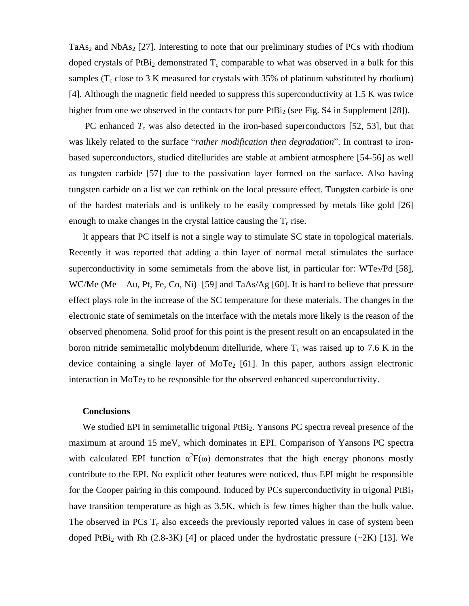TaAs<sub>2</sub> and NbAs<sub>2</sub> [27]. Interesting to note that our preliminary studies of PCs with rhodium doped crystals of PtBi<sub>2</sub> demonstrated  $T_c$  comparable to what was observed in a bulk for this samples ( $T_c$  close to 3 K measured for crystals with 35% of platinum substituted by rhodium) [4]. Although the magnetic field needed to suppress this superconductivity at 1.5 K was twice higher from one we observed in the contacts for pure  $PtBi<sub>2</sub>$  (see Fig. S4 in Supplement [28]).

PC enhanced  $T_c$  was also detected in the iron-based superconductors [52, 53], but that was likely related to the surface "*rather modification then degradation*". In contrast to ironbased superconductors, studied ditellurides are stable at ambient atmosphere [54-56] as well as tungsten carbide [57] due to the passivation layer formed on the surface. Also having tungsten carbide on a list we can rethink on the local pressure effect. Tungsten carbide is one of the hardest materials and is unlikely to be easily compressed by metals like gold [26] enough to make changes in the crystal lattice causing the  $T_c$  rise.

It appears that PC itself is not a single way to stimulate SC state in topological materials. Recently it was reported that adding a thin layer of normal metal stimulates the surface superconductivity in some semimetals from the above list, in particular for:  $WTe_2/Pd$  [58], WC/Me (Me – Au, Pt, Fe, Co, Ni) [59] and TaAs/Ag [60]. It is hard to believe that pressure effect plays role in the increase of the SC temperature for these materials. The changes in the electronic state of semimetals on the interface with the metals more likely is the reason of the observed phenomena. Solid proof for this point is the present result on an encapsulated in the boron nitride semimetallic molybdenum ditelluride, where  $T_c$  was raised up to 7.6 K in the device containing a single layer of MoTe<sub>2</sub> [61]. In this paper, authors assign electronic interaction in MoTe<sub>2</sub> to be responsible for the observed enhanced superconductivity.

#### **Conclusions**

We studied EPI in semimetallic trigonal PtBi<sub>2</sub>. Yansons PC spectra reveal presence of the maximum at around 15 meV, which dominates in EPI. Comparison of Yansons PC spectra with calculated EPI function  $\alpha^2 F(\omega)$  demonstrates that the high energy phonons mostly contribute to the EPI. No explicit other features were noticed, thus EPI might be responsible for the Cooper pairing in this compound. Induced by PCs superconductivity in trigonal  $PtBi<sub>2</sub>$ have transition temperature as high as 3.5K, which is few times higher than the bulk value. The observed in PCs  $T_c$  also exceeds the previously reported values in case of system been doped PtBi<sub>2</sub> with Rh (2.8-3K) [4] or placed under the hydrostatic pressure  $(\sim 2K)$  [13]. We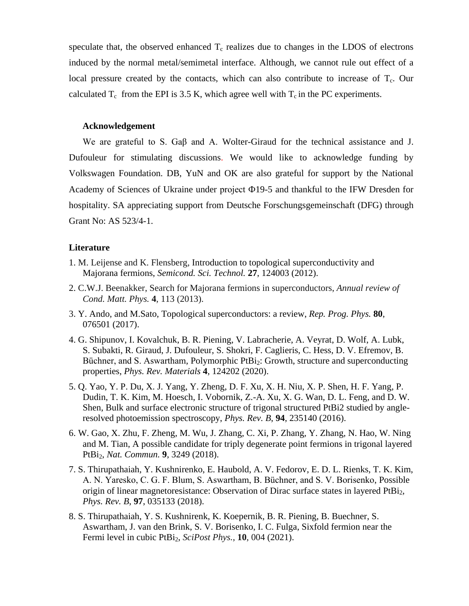speculate that, the observed enhanced  $T_c$  realizes due to changes in the LDOS of electrons induced by the normal metal/semimetal interface. Although, we cannot rule out effect of a local pressure created by the contacts, which can also contribute to increase of  $T_c$ . Our calculated  $T_c$  from the EPI is 3.5 K, which agree well with  $T_c$  in the PC experiments.

# **Acknowledgement**

We are grateful to S. Gaβ and A. Wolter-Giraud for the technical assistance and J. Dufouleur for stimulating discussions. We would like to acknowledge funding by Volkswagen Foundation. DB, YuN and OK are also grateful for support by the National Academy of Sciences of Ukraine under project Ф19-5 and thankful to the IFW Dresden for hospitality. SA appreciating support from Deutsche Forschungsgemeinschaft (DFG) through Grant No: AS 523/4-1.

# **Literature**

- 1. M. Leijense and K. Flensberg, Introduction to topological superconductivity and Majorana fermions, *Semicond. Sci. Technol.* **27**, 124003 (2012).
- 2. C.W.J. Beenakker, Search for Majorana fermions in superconductors, *Annual review of Cond. Matt. Phys.* **4**, 113 (2013).
- 3. Y. Ando, and M.Sato, Topological superconductors: a review, *Rep. Prog. Phys.* **80**, 076501 (2017).
- 4. G. Shipunov, I. Kovalchuk, B. R. Piening, V. Labracherie, A. Veyrat, D. Wolf, A. Lubk, S. Subakti, R. Giraud, J. Dufouleur, S. Shokri, F. Caglieris, C. Hess, D. V. Efremov, B. Büchner, and S. Aswartham, Polymorphic PtBi<sub>2</sub>: Growth, structure and superconducting properties, *Phys. Rev. Materials* **4**, 124202 (2020).
- 5. Q. Yao, Y. P. Du, X. J. Yang, Y. Zheng, D. F. Xu, X. H. Niu, X. P. Shen, H. F. Yang, P. Dudin, T. K. Kim, M. Hoesch, I. Vobornik, Z.-A. Xu, X. G. Wan, D. L. Feng, and D. W. Shen, Bulk and surface electronic structure of trigonal structured PtBi2 studied by angleresolved photoemission spectroscopy, *Phys. Rev. B*, **94**, 235140 (2016).
- 6. W. Gao, X. Zhu, F. Zheng, M. Wu, J. Zhang, C. Xi, P. Zhang, Y. Zhang, N. Hao, W. Ning and M. Tian, A possible candidate for triply degenerate point fermions in trigonal layered PtBi2, *Nat. Commun.* **9**, 3249 (2018).
- 7. S. Thirupathaiah, Y. Kushnirenko, E. Haubold, A. V. Fedorov, E. D. L. Rienks, T. K. Kim, A. N. Yaresko, C. G. F. Blum, S. Aswartham, B. Büchner, and S. V. Borisenko, Possible origin of linear magnetoresistance: Observation of Dirac surface states in layered PtBi<sub>2</sub>, *Phys. Rev. B*, **97**, 035133 (2018).
- 8. S. Thirupathaiah, Y. S. Kushnirenk, K. Koepernik, B. R. Piening, B. Buechner, S. Aswartham, J. van den Brink, S. V. Borisenko, I. C. Fulga, Sixfold fermion near the Fermi level in cubic PtBi2, *SciPost Phys.*, **10**, 004 (2021).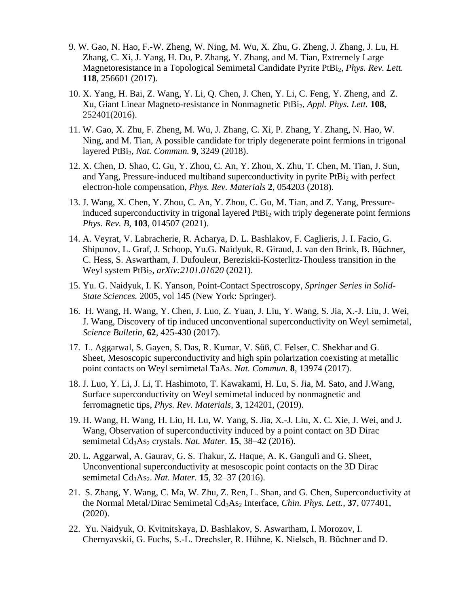- 9. W. Gao, N. Hao, F.-W. Zheng, W. Ning, M. Wu, X. Zhu, G. Zheng, J. Zhang, J. Lu, H. Zhang, C. Xi, J. Yang, H. Du, P. Zhang, Y. Zhang, and M. Tian, Extremely Large Magnetoresistance in a Topological Semimetal Candidate Pyrite PtBi2, *Phys. Rev. Lett.* **118**, 256601 (2017).
- 10. X. Yang, H. Bai, Z. Wang, Y. Li, Q. Chen, J. Chen, Y. Li, C. Feng, Y. Zheng, and Z. Xu, Giant Linear Magneto-resistance in Nonmagnetic PtBi2, *Appl. Phys. Lett.* **108**, 252401(2016).
- 11. W. Gao, X. Zhu, F. Zheng, M. Wu, J. Zhang, C. Xi, P. Zhang, Y. Zhang, N. Hao, W. Ning, and M. Tian, A possible candidate for triply degenerate point fermions in trigonal layered PtBi2, *Nat. Commun.* **9**, 3249 (2018).
- 12. X. Chen, D. Shao, C. Gu, Y. Zhou, C. An, Y. Zhou, X. Zhu, T. Chen, M. Tian, J. Sun, and Yang, Pressure-induced multiband superconductivity in pyrite PtBi<sub>2</sub> with perfect electron-hole compensation, *Phys. Rev. Materials* **2**, 054203 (2018).
- 13. J. Wang, X. Chen, Y. Zhou, C. An, Y. Zhou, C. Gu, M. Tian, and Z. Yang, Pressureinduced superconductivity in trigonal layered  $PtBi<sub>2</sub>$  with triply degenerate point fermions *Phys. Rev. B*, **103**, 014507 (2021).
- 14. A. Veyrat, V. Labracherie, R. Acharya, D. L. Bashlakov, F. Caglieris, J. I. Facio, G. Shipunov, L. Graf, J. Schoop, Yu.G. Naidyuk, R. Giraud, J. van den Brink, B. Büchner, C. Hess, S. Aswartham, J. Dufouleur, Bereziskii-Kosterlitz-Thouless transition in the Weyl system PtBi2, *arXiv:2101.01620* (2021).
- 15. Yu. G. Naidyuk, I. K. Yanson, Point-Contact Spectroscopy, *Springer Series in Solid-State Sciences.* 2005, vol 145 (New York: Springer).
- 16. H. Wang, H. Wang, Y. Chen, J. Luo, Z. Yuan, J. Liu, Y. Wang, S. Jia, X.-J. Liu, J. Wei, J. Wang, Discovery of tip induced unconventional superconductivity on Weyl semimetal, *Science Bulletin*, **62**, 425-430 (2017).
- 17. L. Aggarwal, S. Gayen, S. Das, R. Kumar, V. Süß, C. Felser, C. Shekhar and G. Sheet, Mesoscopic superconductivity and high spin polarization coexisting at metallic point contacts on Weyl semimetal TaAs. *Nat. Commun.* **8**, 13974 (2017).
- 18. J. Luo, Y. Li, J. Li, T. Hashimoto, T. Kawakami, H. Lu, S. Jia, M. Sato, and J.Wang, Surface superconductivity on Weyl semimetal induced by nonmagnetic and ferromagnetic tips, *Phys. Rev. Materials*, **3**, 124201, (2019).
- 19. H. Wang, H. Wang, H. Liu, H. Lu, W. Yang, S. Jia, X.-J. Liu, X. C. Xie, J. Wei, and J. Wang, Observation of superconductivity induced by a point contact on 3D Dirac semimetal Cd<sub>3</sub>As<sub>2</sub> crystals. *Nat. Mater.* **15**, 38–42 (2016).
- 20. L. Aggarwal, A. Gaurav, G. S. Thakur, Z. Haque, A. K. Ganguli and G. Sheet, Unconventional superconductivity at mesoscopic point contacts on the 3D Dirac semimetal Cd3As2. *Nat. Mater.* **15**, 32–37 (2016).
- 21. S. Zhang, Y. Wang, C. Ma, W. Zhu, Z. Ren, L. Shan, and G. Chen, Superconductivity at the Normal Metal/Dirac Semimetal Cd<sub>3</sub>As<sub>2</sub> Interface, *Chin. Phys. Lett.*, 37, 077401, (2020).
- 22. Yu. Naidyuk, O. Kvitnitskaya, D. Bashlakov, S. Aswartham, I. Morozov, I. Chernyavskii, G. Fuchs, S.-L. Drechsler, R. Hühne, K. Nielsch, B. Büchner and D.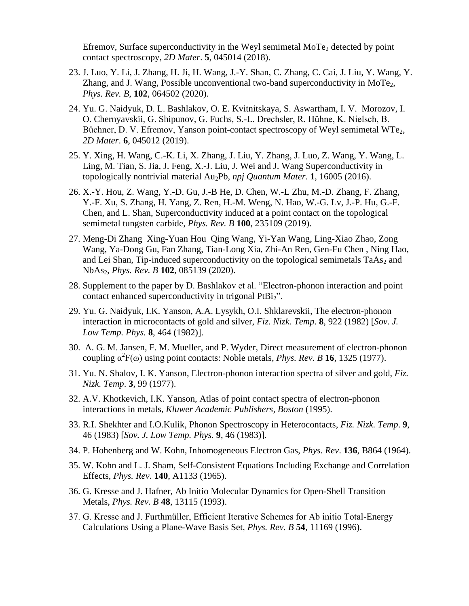Efremov, Surface superconductivity in the Weyl semimetal  $MoTe<sub>2</sub>$  detected by point contact spectroscopy, *2D Mater*. **5**, 045014 (2018).

- 23. J. Luo, Y. Li, J. Zhang, H. Ji, H. Wang, J.-Y. Shan, C. Zhang, C. Cai, J. Liu, Y. Wang, Y. Zhang, and J. Wang, Possible unconventional two-band superconductivity in MoTe<sub>2</sub>, *Phys. Rev. B*, **102**, 064502 (2020).
- 24. Yu. G. Naidyuk, D. L. Bashlakov, O. E. Kvitnitskaya, S. Aswartham, I. V. Morozov, I. O. Chernyavskii, G. Shipunov, G. Fuchs, S.-L. Drechsler, R. Hühne, K. Nielsch, B. Büchner, D. V. Efremov, Yanson point-contact spectroscopy of Weyl semimetal WTe<sub>2</sub>, *2D Mater*. **6**, 045012 (2019).
- 25. Y. Xing, H. Wang, C.-K. Li, X. Zhang, J. Liu, Y. Zhang, J. Luo, Z. Wang, Y. Wang, L. Ling, M. Tian, S. Jia, J. Feng, X.-J. Liu, J. Wei and J. Wang Superconductivity in topologically nontrivial material Au2Pb, *npj Quantum Mater*. **1**, 16005 (2016).
- 26. X.-Y. Hou, Z. Wang, Y.-D. Gu, J.-B He, D. Chen, W.-L Zhu, M.-D. Zhang, F. Zhang, Y.-F. Xu, S. Zhang, H. Yang, Z. Ren, H.-M. Weng, N. Hao, W.-G. Lv, J.-P. Hu, G.-F. Chen, and L. Shan, Superconductivity induced at a point contact on the topological semimetal tungsten carbide, *Phys. Rev. B* **100**, 235109 (2019).
- 27. Meng-Di Zhang Xing-Yuan Hou Qing Wang, Yi-Yan Wang, Ling-Xiao Zhao, Zong Wang, Ya-Dong Gu, Fan Zhang, Tian-Long Xia, Zhi-An Ren, Gen-Fu Chen , Ning Hao, and Lei Shan, Tip-induced superconductivity on the topological semimetals  $TaAs<sub>2</sub>$  and NbAs2, *Phys. Rev. B* **102**, 085139 (2020).
- 28. Supplement to the paper by D. Bashlakov et al. "Electron-phonon interaction and point contact enhanced superconductivity in trigonal PtBi<sub>2</sub>".
- 29. Yu. G. Naidyuk, I.K. Yanson, A.A. Lysykh, O.I. Shklarevskii*,* The electron-phonon interaction in microcontacts of gold and silver, *Fiz. Nizk. Temp*. **8**, 922 (1982) [*Sov. J. Low Temp. Phys.* **8**, 464 (1982)].
- 30. A. G. M. Jansen, F. M. Mueller, and P. Wyder, Direct measurement of electron-phonon coupling  $\alpha^2 F(\omega)$  using point contacts: Noble metals, *Phys. Rev. B* **16**, 1325 (1977).
- 31. Yu. N. Shalov, I. K. Yanson, Electron-phonon interaction spectra of silver and gold, *Fiz. Nizk. Temp*. **3**, 99 (1977).
- 32. A.V. Khotkevich, I.K. Yanson, Atlas of point contact spectra of electron-phonon interactions in metals, *Kluwer Academic Publishers, Boston* (1995).
- 33. R.I. Shekhter and I.O.Kulik, Phonon Spectroscopy in Heterocontacts, *Fiz. Nizk. Temp*. **9**, 46 (1983) [*Sov. J. Low Temp. Phys.* **9**, 46 (1983)].
- 34. P. Hohenberg and W. Kohn, Inhomogeneous Electron Gas*, Phys. Rev*. **136**, B864 (1964).
- 35. W. Kohn and L. J. Sham, Self-Consistent Equations Including Exchange and Correlation Effects, *Phys. Rev*. **140**, A1133 (1965).
- 36. G. Kresse and J. Hafner, Ab Initio Molecular Dynamics for Open-Shell Transition Metals, *Phys. Rev. B* **48**, 13115 (1993).
- 37. G. Kresse and J. Furthmüller, Efficient Iterative Schemes for Ab initio Total-Energy Calculations Using a Plane-Wave Basis Set, *Phys. Rev. B* **54**, 11169 (1996).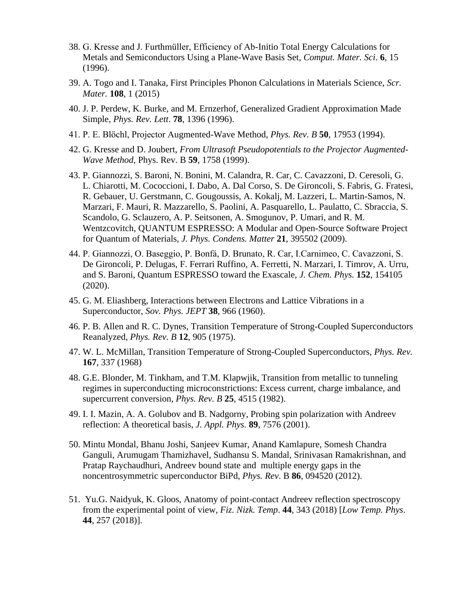- 38. G. Kresse and J. Furthmüller, Efficiency of Ab-Initio Total Energy Calculations for Metals and Semiconductors Using a Plane-Wave Basis Set*, Comput. Mater. Sci*. **6**, 15 (1996).
- 39. A. Togo and I. Tanaka*,* First Principles Phonon Calculations in Materials Science, *Scr. Mater.* **108**, 1 (2015)
- 40. J. P. Perdew, K. Burke, and M. Ernzerhof, Generalized Gradient Approximation Made Simple, *Phys. Rev. Lett*. **78**, 1396 (1996).
- 41. P. E. Blöchl, Projector Augmented-Wave Method, *Phys. Rev. B* **50**, 17953 (1994).
- 42. G. Kresse and D. Joubert, *From Ultrasoft Pseudopotentials to the Projector Augmented-Wave Method,* Phys. Rev. B **59**, 1758 (1999).
- 43. P. Giannozzi, S. Baroni, N. Bonini, M. Calandra, R. Car, C. Cavazzoni, D. Ceresoli, G. L. Chiarotti, M. Cococcioni, I. Dabo, A. Dal Corso, S. De Gironcoli, S. Fabris, G. Fratesi, R. Gebauer, U. Gerstmann, C. Gougoussis, A. Kokalj, M. Lazzeri, L. Martin-Samos, N. Marzari, F. Mauri, R. Mazzarello, S. Paolini, A. Pasquarello, L. Paulatto, C. Sbraccia, S. Scandolo, G. Sclauzero, A. P. Seitsonen, A. Smogunov, P. Umari, and R. M. Wentzcovitch, QUANTUM ESPRESSO: A Modular and Open-Source Software Project for Quantum of Materials, *J. Phys. Condens. Matter* **21**, 395502 (2009).
- 44. P. Giannozzi, O. Baseggio, P. Bonfá, D. Brunato, R. Car, I.Carnimeo, C. Cavazzoni, S. De Gironcoli, P. Delugas, F. Ferrari Ruffino, A. Ferretti, N. Marzari, I. Timrov, A. Urru, and S. Baroni, Quantum ESPRESSO toward the Exascale, *J. Chem. Phys.* **152**, 154105 (2020).
- 45. G. M. Eliashberg, Interactions between Electrons and Lattice Vibrations in a Superconductor, *Sov. Phys. JEPT* **38**, 966 (1960).
- 46. P. B. Allen and R. C. Dynes, Transition Temperature of Strong-Coupled Superconductors Reanalyzed, *Phys. Rev. B* **12**, 905 (1975).
- 47. W. L. McMillan, Transition Temperature of Strong-Coupled Superconductors, *Phys. Rev.* **167**, 337 (1968)
- 48. G.E. Blonder, M. Tinkham, and T.M. Klapwjik, Transition from metallic to tunneling regimes in superconducting microconstrictions: Excess current, charge imbalance, and supercurrent conversion, *Phys. Rev. B* **25**, 4515 (1982).
- 49. I. I. Mazin, A. A. Golubov and B. Nadgorny, Probing spin polarization with Andreev reflection: A theoretical basis, *J. Appl. Phys.* **89**, 7576 (2001).
- 50. Mintu Mondal, Bhanu Joshi, Sanjeev Kumar, Anand Kamlapure, Somesh Chandra Ganguli, Arumugam Thamizhavel, Sudhansu S. Mandal, Srinivasan Ramakrishnan, and Pratap Raychaudhuri, Andreev bound state and multiple energy gaps in the noncentrosymmetric superconductor BiPd, *Phys. Rev*. B **86**, 094520 (2012).
- 51. Yu.G. Naidyuk, K. Gloos, Anatomy of point-contact Andreev reflection spectroscopy from the experimental point of view*, Fiz. Nizk. Temp*. **44**, 343 (2018) [*Low Temp. Phys*. **44**, 257 (2018)].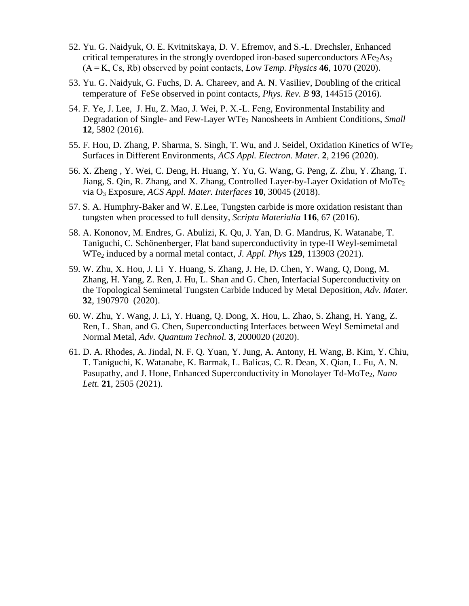- 52. Yu. G. Naidyuk, O. E. Kvitnitskaya, D. V. Efremov, and S.-L. Drechsler, Enhanced critical temperatures in the strongly overdoped iron-based superconductors  $AFe<sub>2</sub>As<sub>2</sub>$ (A = K, Cs, Rb) observed by point contacts, *Low Temp. Physics* **46**, 1070 (2020).
- 53. Yu. G. Naidyuk, G. Fuchs, D. A. Chareev, and A. N. Vasiliev, Doubling of the critical temperature of FeSe observed in point contacts, *Phys. Rev. B* **93**, 144515 (2016).
- 54. F. Ye, J. Lee, J. Hu, Z. Mao, J. Wei, P. X.‐L. Feng, Environmental Instability and Degradation of Single- and Few-Layer WTe<sub>2</sub> Nanosheets in Ambient Conditions, *Small* **12**, 5802 (2016).
- 55. F. Hou, D. Zhang, P. Sharma, S. Singh, T. Wu, and J. Seidel, Oxidation Kinetics of WTe<sub>2</sub> Surfaces in Different Environments, *ACS Appl. Electron. Mater.* **2**, 2196 (2020).
- 56. X. Zheng , Y. Wei, C. Deng, H. Huang, Y. Yu, G. Wang, G. Peng, Z. Zhu, Y. Zhang, T. Jiang, S. Qin, R. Zhang, and X. Zhang, Controlled Layer-by-Layer Oxidation of MoTe<sub>2</sub> via O<sup>3</sup> Exposure, *ACS Appl. Mater. Interfaces* **10**, 30045 (2018).
- 57. S. A. Humphry-Baker and W. E.Lee, Tungsten carbide is more oxidation resistant than tungsten when processed to full density, *Scripta Materialia* **116**, 67 (2016).
- 58. A. Kononov, M. Endres, G. Abulizi, K. Qu, J. Yan, D. G. Mandrus, K. Watanabe, T. Taniguchi, C. Schönenberger, Flat band superconductivity in type-II Weyl-semimetal WTe<sup>2</sup> induced by a normal metal contact, *J. Appl. Phys* **129**, 113903 (2021).
- 59. W. Zhu, X. Hou, J. Li Y. Huang, S. Zhang, J. He, D. Chen, Y. Wang, Q, Dong, M. Zhang, H. Yang, Z. Ren, J. Hu, L. Shan and G. Chen, Interfacial Superconductivity on the Topological Semimetal Tungsten Carbide Induced by Metal Deposition, *Adv. Mater.* **32**, 1907970 (2020).
- 60. W. Zhu, Y. Wang, J. Li, Y. Huang, Q. Dong, X. Hou, L. Zhao, S. Zhang, H. Yang, Z. Ren, L. Shan, and G. Chen, Superconducting Interfaces between Weyl Semimetal and Normal Metal, *Adv. Quantum Technol.* **3**, 2000020 (2020).
- 61. D. A. Rhodes, A. Jindal, N. F. Q. Yuan, Y. Jung, A. Antony, H. Wang, B. Kim, Y. Chiu, T. Taniguchi, K. Watanabe, K. Barmak, L. Balicas, C. R. Dean, X. Qian, L. Fu, A. N. Pasupathy, and J. Hone, Enhanced Superconductivity in Monolayer Td-MoTe<sub>2</sub>, *Nano Lett.* **21**, 2505 (2021).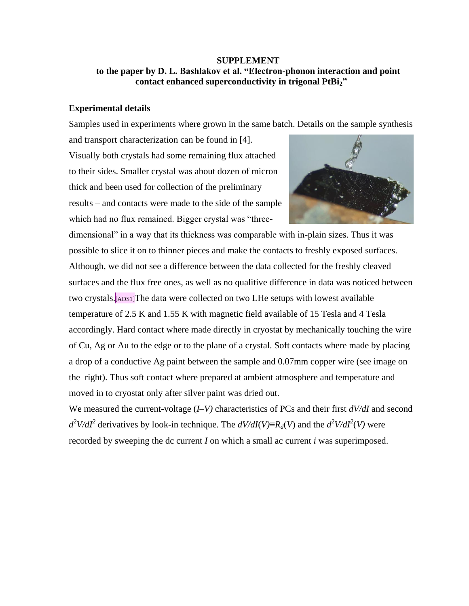# **SUPPLEMENT to the paper by D. L. Bashlakov et al. "Electron-phonon interaction and point contact enhanced superconductivity in trigonal PtBi2"**

# **Experimental details**

Samples used in experiments where grown in the same batch. Details on the sample synthesis

and transport characterization can be found in [4]. Visually both crystals had some remaining flux attached to their sides. Smaller crystal was about dozen of micron thick and been used for collection of the preliminary results – and contacts were made to the side of the sample which had no flux remained. Bigger crystal was "three-



dimensional" in a way that its thickness was comparable with in-plain sizes. Thus it was possible to slice it on to thinner pieces and make the contacts to freshly exposed surfaces. Although, we did not see a difference between the data collected for the freshly cleaved surfaces and the flux free ones, as well as no qualitive difference in data was noticed between two crystals.[ADS1]The data were collected on two LHe setups with lowest available temperature of 2.5 K and 1.55 K with magnetic field available of 15 Tesla and 4 Tesla accordingly. Hard contact where made directly in cryostat by mechanically touching the wire of Cu, Ag or Au to the edge or to the plane of a crystal. Soft contacts where made by placing a drop of a conductive Ag paint between the sample and 0.07mm copper wire (see image on the right). Thus soft contact where prepared at ambient atmosphere and temperature and moved in to cryostat only after silver paint was dried out.

We measured the current-voltage (*I*–*V)* characteristics of PCs and their first *dV/dI* and second  $d^2V/dI^2$  derivatives by look-in technique. The  $dV/dI(V) \equiv R_d(V)$  and the  $d^2V/dI^2(V)$  were recorded by sweeping the dc current *I* on which a small ac current *i* was superimposed.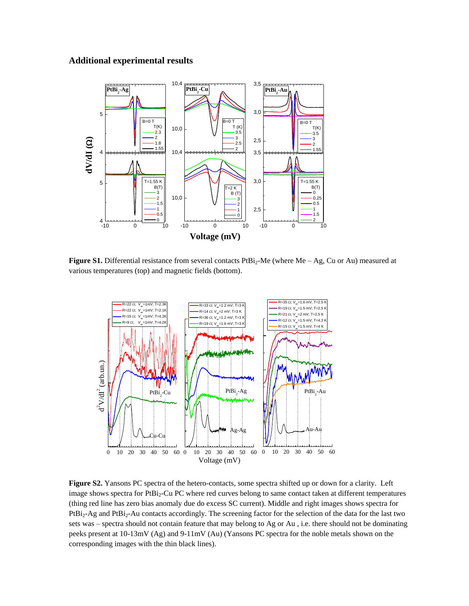### **Additional experimental results**



Figure S1. Differential resistance from several contacts PtBi<sub>2</sub>-Me (where Me – Ag, Cu or Au) measured at various temperatures (top) and magnetic fields (bottom).



**Figure S2.** Yansons PC spectra of the hetero-contacts, some spectra shifted up or down for a clarity. Left image shows spectra for PtBi<sub>2</sub>-Cu PC where red curves belong to same contact taken at different temperatures (thing red line has zero bias anomaly due do excess SC current). Middle and right images shows spectra for PtBi<sub>2</sub>-Ag and PtBi<sub>2</sub>-Au contacts accordingly. The screening factor for the selection of the data for the last two sets was – spectra should not contain feature that may belong to Ag or Au , i.e. there should not be dominating peeks present at 10-13mV (Ag) and 9-11mV (Au) (Yansons PC spectra for the noble metals shown on the corresponding images with the thin black lines).